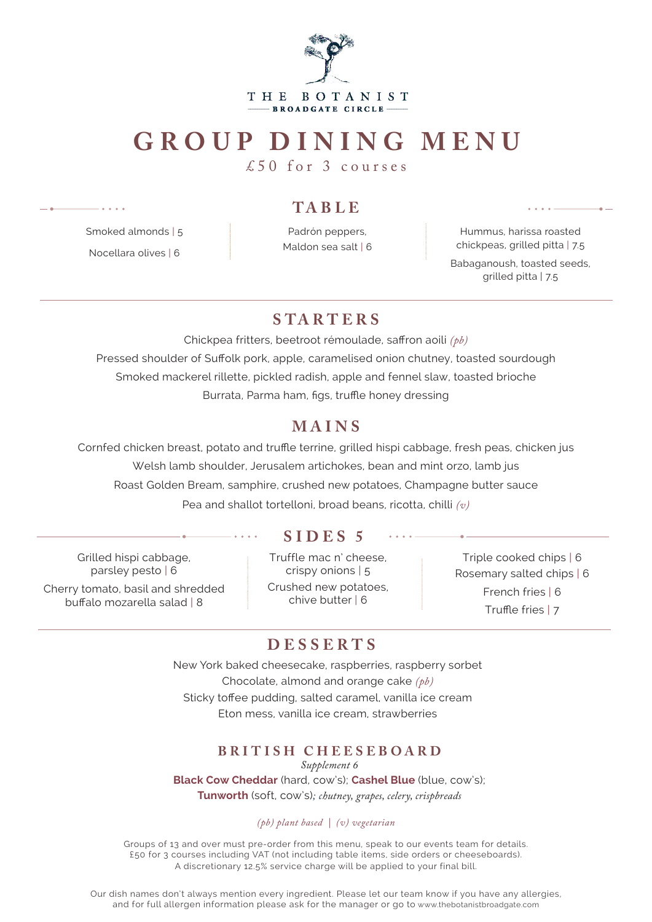

# **GROUP DINING MENU**

£50 for 3 courses

#### **TA B LE**

Padrón peppers, Maldon sea salt | 6

Hummus, harissa roasted chickpeas, grilled pitta | 7.5 Babaganoush, toasted seeds, grilled pitta | 7.5

# **S TA RT ER S**

Chickpea fritters, beetroot rémoulade, saffron aoili *(pb)* Pressed shoulder of Suffolk pork, apple, caramelised onion chutney, toasted sourdough Smoked mackerel rillette, pickled radish, apple and fennel slaw, toasted brioche Burrata, Parma ham, figs, truffle honey dressing

## **MAINS**

Cornfed chicken breast, potato and truffle terrine, grilled hispi cabbage, fresh peas, chicken jus Welsh lamb shoulder, Jerusalem artichokes, bean and mint orzo, lamb jus Roast Golden Bream, samphire, crushed new potatoes, Champagne butter sauce Pea and shallot tortelloni, broad beans, ricotta, chilli *(v)*

Grilled hispi cabbage, parsley pesto | 6 Cherry tomato, basil and shredded buffalo mozarella salad | 8

Smoked almonds | 5 Nocellara olives | 6

## **SIDES 5**

Truffle mac n' cheese, crispy onions | 5 Crushed new potatoes, chive butter | 6

Triple cooked chips | 6 Rosemary salted chips | 6 French fries | 6 Truffle fries | 7

## **DESSERTS**

New York baked cheesecake, raspberries, raspberry sorbet Chocolate, almond and orange cake *(pb)* Sticky toffee pudding, salted caramel, vanilla ice cream Eton mess, vanilla ice cream, strawberries

#### **BRITISH CHEESEBOARD**

*Supplement 6*

**Black Cow Cheddar** (hard, cow's); **Cashel Blue** (blue, cow's); **Tunworth** (soft, cow's)*; chutney, grapes, celery, crispbreads*

#### *(pb) plant based | (v) vegetarian*

Groups of 13 and over must pre-order from this menu, speak to our events team for details. £50 for 3 courses including VAT (not including table items, side orders or cheeseboards). A discretionary 12.5% service charge will be applied to your final bill.

Our dish names don't always mention every ingredient. Please let our team know if you have any allergies, and for full allergen information please ask for the manager or go to www.thebotanistbroadgate.com